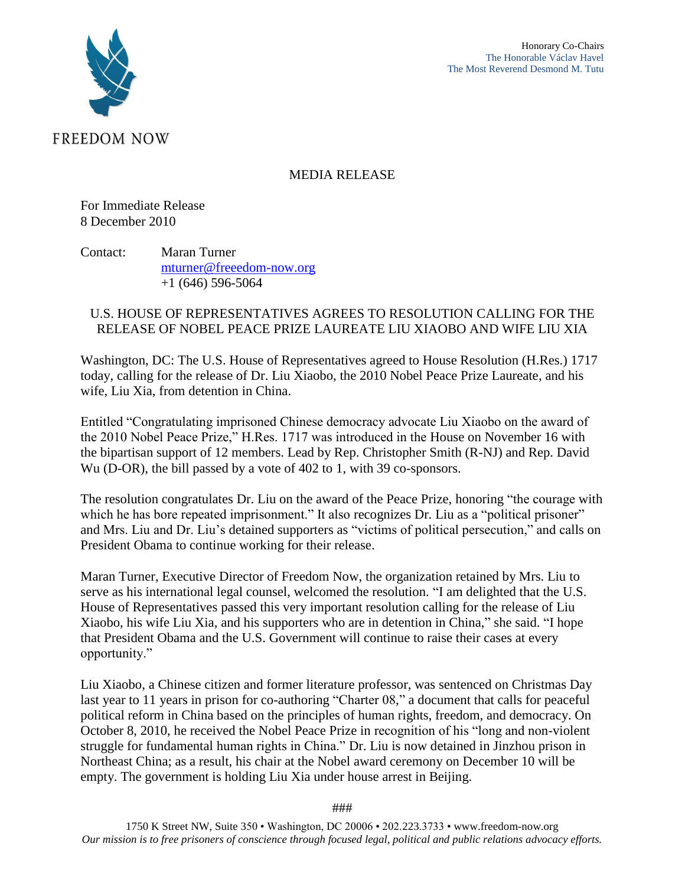

MEDIA RELEASE

For Immediate Release 8 December 2010

Contact: Maran Turner [mturner@freeedom-now.org](mailto:mturner@freeedom-now.org) +1 (646) 596-5064

## U.S. HOUSE OF REPRESENTATIVES AGREES TO RESOLUTION CALLING FOR THE RELEASE OF NOBEL PEACE PRIZE LAUREATE LIU XIAOBO AND WIFE LIU XIA

Washington, DC: The U.S. House of Representatives agreed to House Resolution (H.Res.) 1717 today, calling for the release of Dr. Liu Xiaobo, the 2010 Nobel Peace Prize Laureate, and his wife, Liu Xia, from detention in China.

Entitled "Congratulating imprisoned Chinese democracy advocate Liu Xiaobo on the award of the 2010 Nobel Peace Prize," H.Res. 1717 was introduced in the House on November 16 with the bipartisan support of 12 members. Lead by Rep. Christopher Smith (R-NJ) and Rep. David Wu (D-OR), the bill passed by a vote of 402 to 1, with 39 co-sponsors.

The resolution congratulates Dr. Liu on the award of the Peace Prize, honoring "the courage with which he has bore repeated imprisonment." It also recognizes Dr. Liu as a "political prisoner" and Mrs. Liu and Dr. Liu's detained supporters as "victims of political persecution," and calls on President Obama to continue working for their release.

Maran Turner, Executive Director of Freedom Now, the organization retained by Mrs. Liu to serve as his international legal counsel, welcomed the resolution. "I am delighted that the U.S. House of Representatives passed this very important resolution calling for the release of Liu Xiaobo, his wife Liu Xia, and his supporters who are in detention in China," she said. "I hope that President Obama and the U.S. Government will continue to raise their cases at every opportunity."

Liu Xiaobo, a Chinese citizen and former literature professor, was sentenced on Christmas Day last year to 11 years in prison for co-authoring "Charter 08," a document that calls for peaceful political reform in China based on the principles of human rights, freedom, and democracy. On October 8, 2010, he received the Nobel Peace Prize in recognition of his "long and non-violent struggle for fundamental human rights in China." Dr. Liu is now detained in Jinzhou prison in Northeast China; as a result, his chair at the Nobel award ceremony on December 10 will be empty. The government is holding Liu Xia under house arrest in Beijing.

###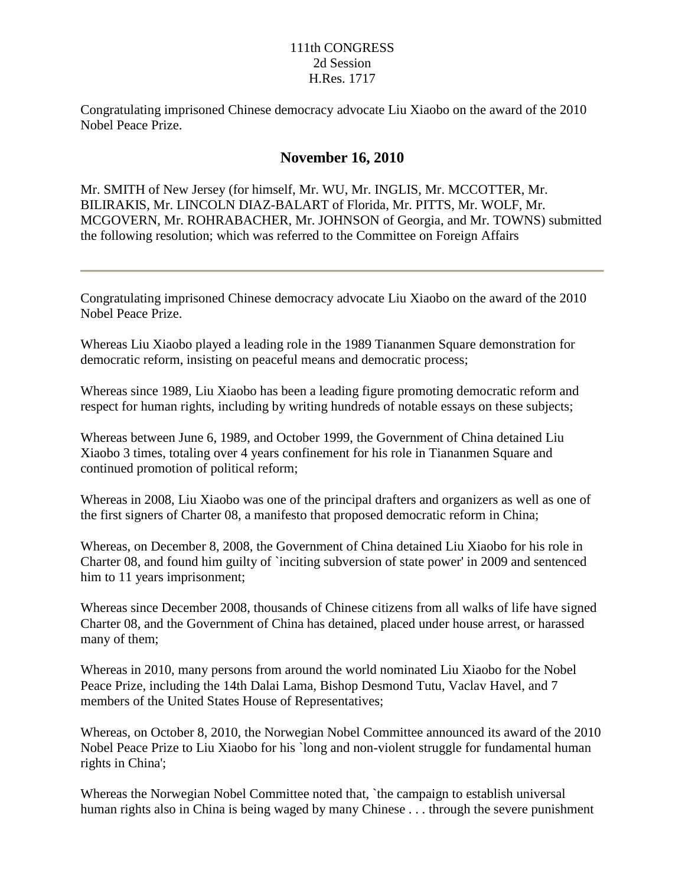## 111th CONGRESS 2d Session H.Res. 1717

Congratulating imprisoned Chinese democracy advocate Liu Xiaobo on the award of the 2010 Nobel Peace Prize.

## **November 16, 2010**

Mr. SMITH of New Jersey (for himself, Mr. WU, Mr. INGLIS, Mr. MCCOTTER, Mr. BILIRAKIS, Mr. LINCOLN DIAZ-BALART of Florida, Mr. PITTS, Mr. WOLF, Mr. MCGOVERN, Mr. ROHRABACHER, Mr. JOHNSON of Georgia, and Mr. TOWNS) submitted the following resolution; which was referred to the Committee on Foreign Affairs

Congratulating imprisoned Chinese democracy advocate Liu Xiaobo on the award of the 2010 Nobel Peace Prize.

Whereas Liu Xiaobo played a leading role in the 1989 Tiananmen Square demonstration for democratic reform, insisting on peaceful means and democratic process;

Whereas since 1989, Liu Xiaobo has been a leading figure promoting democratic reform and respect for human rights, including by writing hundreds of notable essays on these subjects;

Whereas between June 6, 1989, and October 1999, the Government of China detained Liu Xiaobo 3 times, totaling over 4 years confinement for his role in Tiananmen Square and continued promotion of political reform;

Whereas in 2008, Liu Xiaobo was one of the principal drafters and organizers as well as one of the first signers of Charter 08, a manifesto that proposed democratic reform in China;

Whereas, on December 8, 2008, the Government of China detained Liu Xiaobo for his role in Charter 08, and found him guilty of `inciting subversion of state power' in 2009 and sentenced him to 11 years imprisonment;

Whereas since December 2008, thousands of Chinese citizens from all walks of life have signed Charter 08, and the Government of China has detained, placed under house arrest, or harassed many of them;

Whereas in 2010, many persons from around the world nominated Liu Xiaobo for the Nobel Peace Prize, including the 14th Dalai Lama, Bishop Desmond Tutu, Vaclav Havel, and 7 members of the United States House of Representatives;

Whereas, on October 8, 2010, the Norwegian Nobel Committee announced its award of the 2010 Nobel Peace Prize to Liu Xiaobo for his `long and non-violent struggle for fundamental human rights in China';

Whereas the Norwegian Nobel Committee noted that, `the campaign to establish universal human rights also in China is being waged by many Chinese . . . through the severe punishment